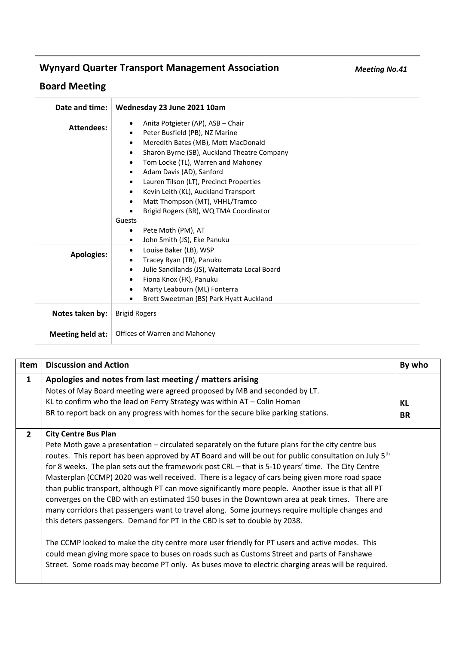## **Wynyard Quarter Transport Management Association**

## **Board Meeting**

| Date and time:    | Wednesday 23 June 2021 10am                                                                                                                                                                                                                                                                                                                                                                                                                                                                                                                           |
|-------------------|-------------------------------------------------------------------------------------------------------------------------------------------------------------------------------------------------------------------------------------------------------------------------------------------------------------------------------------------------------------------------------------------------------------------------------------------------------------------------------------------------------------------------------------------------------|
| <b>Attendees:</b> | Anita Potgieter (AP), ASB - Chair<br>$\bullet$<br>Peter Busfield (PB), NZ Marine<br>$\bullet$<br>Meredith Bates (MB), Mott MacDonald<br>$\bullet$<br>Sharon Byrne (SB), Auckland Theatre Company<br>$\bullet$<br>Tom Locke (TL), Warren and Mahoney<br>$\bullet$<br>Adam Davis (AD), Sanford<br>$\bullet$<br>Lauren Tilson (LT), Precinct Properties<br>$\bullet$<br>Kevin Leith (KL), Auckland Transport<br>٠<br>Matt Thompson (MT), VHHL/Tramco<br>$\bullet$<br>Brigid Rogers (BR), WQ TMA Coordinator<br>Guests<br>Pete Moth (PM), AT<br>$\bullet$ |
|                   | John Smith (JS), Eke Panuku<br>$\bullet$                                                                                                                                                                                                                                                                                                                                                                                                                                                                                                              |
| <b>Apologies:</b> | Louise Baker (LB), WSP<br>٠<br>Tracey Ryan (TR), Panuku<br>$\bullet$<br>Julie Sandilands (JS), Waitemata Local Board<br>$\bullet$<br>Fiona Knox (FK), Panuku<br>$\bullet$<br>Marty Leabourn (ML) Fonterra<br>$\bullet$<br>Brett Sweetman (BS) Park Hyatt Auckland<br>$\bullet$                                                                                                                                                                                                                                                                        |
| Notes taken by:   | <b>Brigid Rogers</b>                                                                                                                                                                                                                                                                                                                                                                                                                                                                                                                                  |
| Meeting held at:  | Offices of Warren and Mahoney                                                                                                                                                                                                                                                                                                                                                                                                                                                                                                                         |

| Item           | <b>Discussion and Action</b>                                                                                                                                                                                                                                                                                                                                                                                                                                                                                                                                                                                                                                                                                                                                                                                                                                                                                                                                                                                                                                                                                                                                  | By who          |
|----------------|---------------------------------------------------------------------------------------------------------------------------------------------------------------------------------------------------------------------------------------------------------------------------------------------------------------------------------------------------------------------------------------------------------------------------------------------------------------------------------------------------------------------------------------------------------------------------------------------------------------------------------------------------------------------------------------------------------------------------------------------------------------------------------------------------------------------------------------------------------------------------------------------------------------------------------------------------------------------------------------------------------------------------------------------------------------------------------------------------------------------------------------------------------------|-----------------|
| $\mathbf{1}$   | Apologies and notes from last meeting / matters arising<br>Notes of May Board meeting were agreed proposed by MB and seconded by LT.<br>KL to confirm who the lead on Ferry Strategy was within $AT - Colin Homan$<br>BR to report back on any progress with homes for the secure bike parking stations.                                                                                                                                                                                                                                                                                                                                                                                                                                                                                                                                                                                                                                                                                                                                                                                                                                                      | KL<br><b>BR</b> |
| $\overline{2}$ | <b>City Centre Bus Plan</b><br>Pete Moth gave a presentation – circulated separately on the future plans for the city centre bus<br>routes. This report has been approved by AT Board and will be out for public consultation on July 5 <sup>th</sup><br>for 8 weeks. The plan sets out the framework post CRL - that is 5-10 years' time. The City Centre<br>Masterplan (CCMP) 2020 was well received. There is a legacy of cars being given more road space<br>than public transport, although PT can move significantly more people. Another issue is that all PT<br>converges on the CBD with an estimated 150 buses in the Downtown area at peak times. There are<br>many corridors that passengers want to travel along. Some journeys require multiple changes and<br>this deters passengers. Demand for PT in the CBD is set to double by 2038.<br>The CCMP looked to make the city centre more user friendly for PT users and active modes. This<br>could mean giving more space to buses on roads such as Customs Street and parts of Fanshawe<br>Street. Some roads may become PT only. As buses move to electric charging areas will be required. |                 |

*Meeting No.41*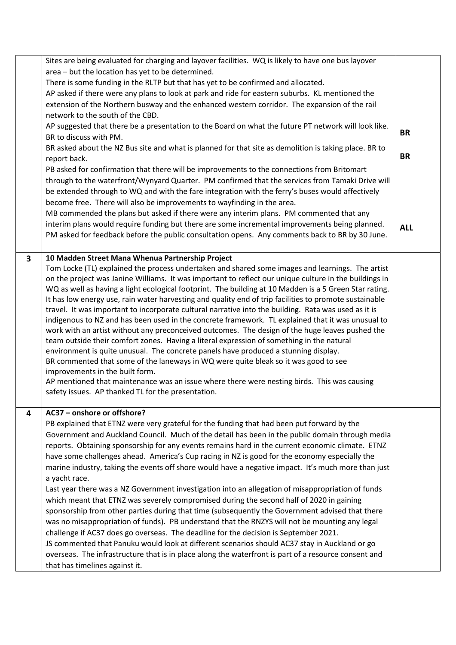|   | Sites are being evaluated for charging and layover facilities. WQ is likely to have one bus layover<br>area - but the location has yet to be determined.<br>There is some funding in the RLTP but that has yet to be confirmed and allocated.<br>AP asked if there were any plans to look at park and ride for eastern suburbs. KL mentioned the<br>extension of the Northern busway and the enhanced western corridor. The expansion of the rail<br>network to the south of the CBD.<br>AP suggested that there be a presentation to the Board on what the future PT network will look like.<br>BR to discuss with PM.<br>BR asked about the NZ Bus site and what is planned for that site as demolition is taking place. BR to<br>report back.<br>PB asked for confirmation that there will be improvements to the connections from Britomart<br>through to the waterfront/Wynyard Quarter. PM confirmed that the services from Tamaki Drive will<br>be extended through to WQ and with the fare integration with the ferry's buses would affectively<br>become free. There will also be improvements to wayfinding in the area.<br>MB commended the plans but asked if there were any interim plans. PM commented that any<br>interim plans would require funding but there are some incremental improvements being planned.<br>PM asked for feedback before the public consultation opens. Any comments back to BR by 30 June. | <b>BR</b><br><b>BR</b><br><b>ALL</b> |
|---|------------------------------------------------------------------------------------------------------------------------------------------------------------------------------------------------------------------------------------------------------------------------------------------------------------------------------------------------------------------------------------------------------------------------------------------------------------------------------------------------------------------------------------------------------------------------------------------------------------------------------------------------------------------------------------------------------------------------------------------------------------------------------------------------------------------------------------------------------------------------------------------------------------------------------------------------------------------------------------------------------------------------------------------------------------------------------------------------------------------------------------------------------------------------------------------------------------------------------------------------------------------------------------------------------------------------------------------------------------------------------------------------------------------------------------|--------------------------------------|
| 3 | 10 Madden Street Mana Whenua Partnership Project<br>Tom Locke (TL) explained the process undertaken and shared some images and learnings. The artist<br>on the project was Janine Williams. It was important to reflect our unique culture in the buildings in<br>WQ as well as having a light ecological footprint. The building at 10 Madden is a 5 Green Star rating.<br>It has low energy use, rain water harvesting and quality end of trip facilities to promote sustainable<br>travel. It was important to incorporate cultural narrative into the building. Rata was used as it is<br>indigenous to NZ and has been used in the concrete framework. TL explained that it was unusual to<br>work with an artist without any preconceived outcomes. The design of the huge leaves pushed the<br>team outside their comfort zones. Having a literal expression of something in the natural<br>environment is quite unusual. The concrete panels have produced a stunning display.<br>BR commented that some of the laneways in WQ were quite bleak so it was good to see<br>improvements in the built form.<br>AP mentioned that maintenance was an issue where there were nesting birds. This was causing<br>safety issues. AP thanked TL for the presentation.                                                                                                                                                              |                                      |
| 4 | AC37 - onshore or offshore?<br>PB explained that ETNZ were very grateful for the funding that had been put forward by the<br>Government and Auckland Council. Much of the detail has been in the public domain through media<br>reports. Obtaining sponsorship for any events remains hard in the current economic climate. ETNZ<br>have some challenges ahead. America's Cup racing in NZ is good for the economy especially the<br>marine industry, taking the events off shore would have a negative impact. It's much more than just<br>a yacht race.<br>Last year there was a NZ Government investigation into an allegation of misappropriation of funds<br>which meant that ETNZ was severely compromised during the second half of 2020 in gaining<br>sponsorship from other parties during that time (subsequently the Government advised that there<br>was no misappropriation of funds). PB understand that the RNZYS will not be mounting any legal<br>challenge if AC37 does go overseas. The deadline for the decision is September 2021.<br>JS commented that Panuku would look at different scenarios should AC37 stay in Auckland or go<br>overseas. The infrastructure that is in place along the waterfront is part of a resource consent and<br>that has timelines against it.                                                                                                                                 |                                      |